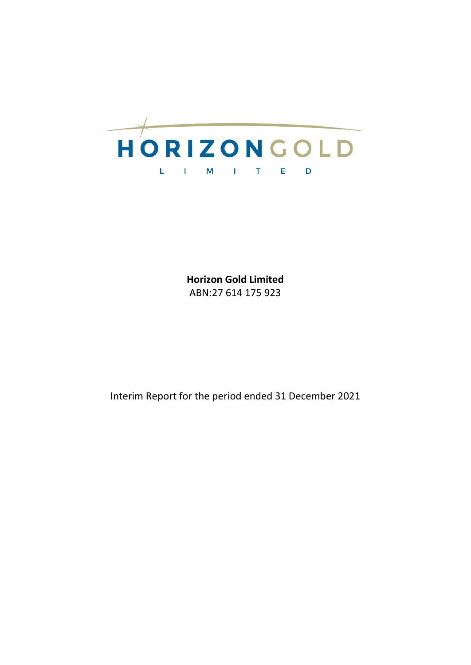

**Horizon Gold Limited** ABN:27 614 175 923

Interim Report for the period ended 31 December 2021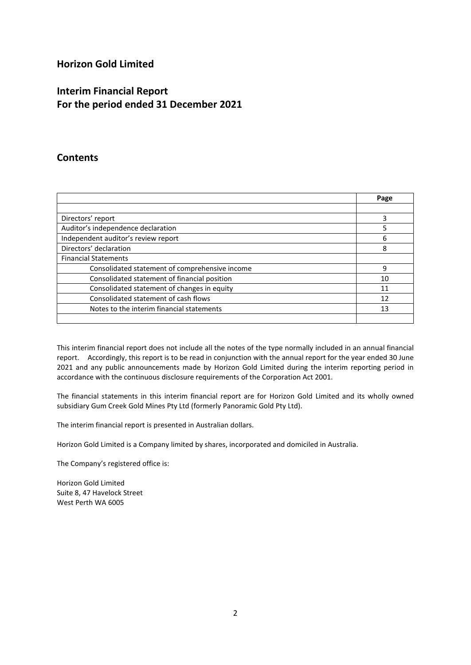# **Horizon Gold Limited**

# **Interim Financial Report For the period ended 31 December 2021**

# **Contents**

|                                                | Page |
|------------------------------------------------|------|
|                                                |      |
| Directors' report                              | 3    |
| Auditor's independence declaration             | 5    |
| Independent auditor's review report            | 6    |
| Directors' declaration                         | 8    |
| <b>Financial Statements</b>                    |      |
| Consolidated statement of comprehensive income | 9    |
| Consolidated statement of financial position   | 10   |
| Consolidated statement of changes in equity    | 11   |
| Consolidated statement of cash flows           | 12   |
| Notes to the interim financial statements      | 13   |
|                                                |      |

This interim financial report does not include all the notes of the type normally included in an annual financial report. Accordingly, this report is to be read in conjunction with the annual report for the year ended 30 June 2021 and any public announcements made by Horizon Gold Limited during the interim reporting period in accordance with the continuous disclosure requirements of the Corporation Act 2001.

The financial statements in this interim financial report are for Horizon Gold Limited and its wholly owned subsidiary Gum Creek Gold Mines Pty Ltd (formerly Panoramic Gold Pty Ltd).

The interim financial report is presented in Australian dollars.

Horizon Gold Limited is a Company limited by shares, incorporated and domiciled in Australia.

The Company's registered office is:

Horizon Gold Limited Suite 8, 47 Havelock Street West Perth WA 6005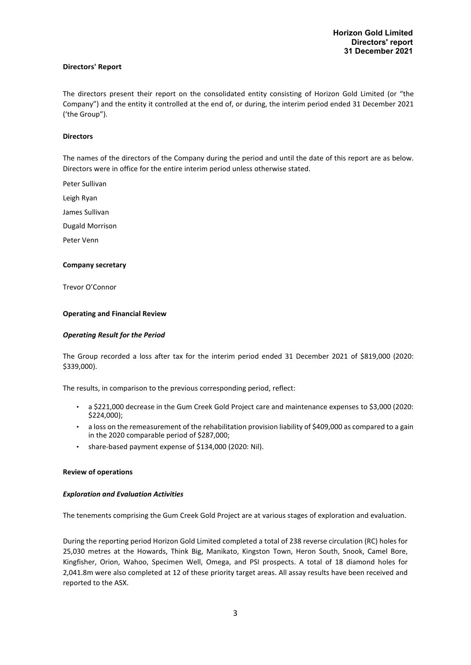#### **Directors' Report**

The directors present their report on the consolidated entity consisting of Horizon Gold Limited (or "the Company") and the entity it controlled at the end of, or during, the interim period ended 31 December 2021 ('the Group").

#### **Directors**

The names of the directors of the Company during the period and until the date of this report are as below. Directors were in office for the entire interim period unless otherwise stated.

Peter Sullivan

Leigh Ryan

James Sullivan

Dugald Morrison

Peter Venn

#### **Company secretary**

Trevor O'Connor

#### **Operating and Financial Review**

#### *Operating Result for the Period*

The Group recorded a loss after tax for the interim period ended 31 December 2021 of \$819,000 (2020: \$339,000).

The results, in comparison to the previous corresponding period, reflect:

- a \$221,000 decrease in the Gum Creek Gold Project care and maintenance expenses to \$3,000 (2020: \$224,000);
- a loss on the remeasurement of the rehabilitation provision liability of \$409,000 as compared to a gain in the 2020 comparable period of \$287,000;
- share-based payment expense of \$134,000 (2020: Nil).

#### **Review of operations**

#### *Exploration and Evaluation Activities*

The tenements comprising the Gum Creek Gold Project are at various stages of exploration and evaluation.

During the reporting period Horizon Gold Limited completed a total of 238 reverse circulation (RC) holes for 25,030 metres at the Howards, Think Big, Manikato, Kingston Town, Heron South, Snook, Camel Bore, Kingfisher, Orion, Wahoo, Specimen Well, Omega, and PSI prospects. A total of 18 diamond holes for 2,041.8m were also completed at 12 of these priority target areas. All assay results have been received and reported to the ASX.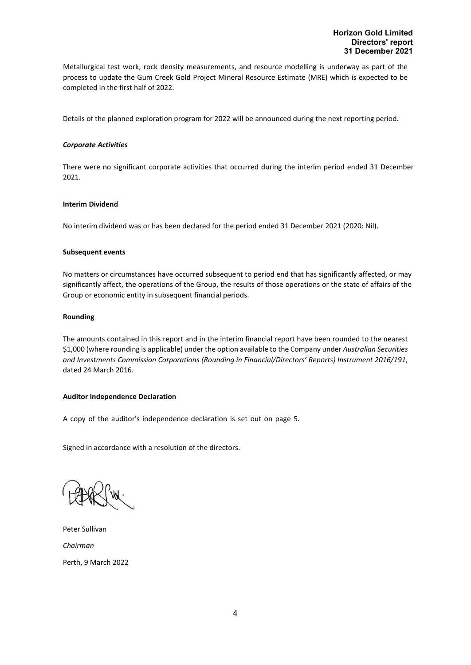Metallurgical test work, rock density measurements, and resource modelling is underway as part of the process to update the Gum Creek Gold Project Mineral Resource Estimate (MRE) which is expected to be completed in the first half of 2022.

Details of the planned exploration program for 2022 will be announced during the next reporting period.

#### *Corporate Activities*

There were no significant corporate activities that occurred during the interim period ended 31 December 2021.

### **Interim Dividend**

No interim dividend was or has been declared for the period ended 31 December 2021 (2020: Nil).

#### **Subsequent events**

No matters or circumstances have occurred subsequent to period end that has significantly affected, or may significantly affect, the operations of the Group, the results of those operations or the state of affairs of the Group or economic entity in subsequent financial periods.

### **Rounding**

The amounts contained in this report and in the interim financial report have been rounded to the nearest \$1,000 (where rounding is applicable) under the option available to the Company under *Australian Securities and Investments Commission Corporations (Rounding in Financial/Directors' Reports) Instrument 2016/191*, dated 24 March 2016.

# **Auditor Independence Declaration**

A copy of the auditor's independence declaration is set out on page 5.

Signed in accordance with a resolution of the directors.

Peter Sullivan *Chairman* Perth, 9 March 2022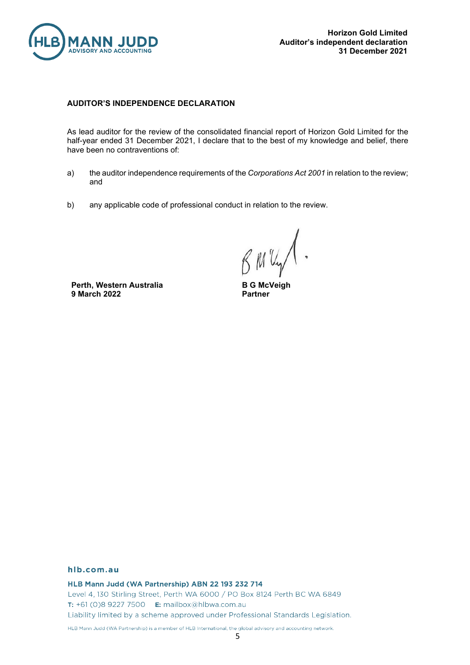

# **AUDITOR'S INDEPENDENCE DECLARATION**

As lead auditor for the review of the consolidated financial report of Horizon Gold Limited for the half-year ended 31 December 2021, I declare that to the best of my knowledge and belief, there have been no contraventions of:

- a) the auditor independence requirements of the *Corporations Act 2001* in relation to the review; and
- b) any applicable code of professional conduct in relation to the review.

**Perth, Western Australia 9 March 2022**

**B G McVeigh Partner**

### hlb.com.au

HLB Mann Judd (WA Partnership) ABN 22 193 232 714

Level 4, 130 Stirling Street, Perth WA 6000 / PO Box 8124 Perth BC WA 6849 T: +61 (0)8 9227 7500 E: mailbox@hlbwa.com.au Liability limited by a scheme approved under Professional Standards Legislation.

HLB Mann Judd (WA Partnership) is a member of HLB International, the global advisory and accounting network.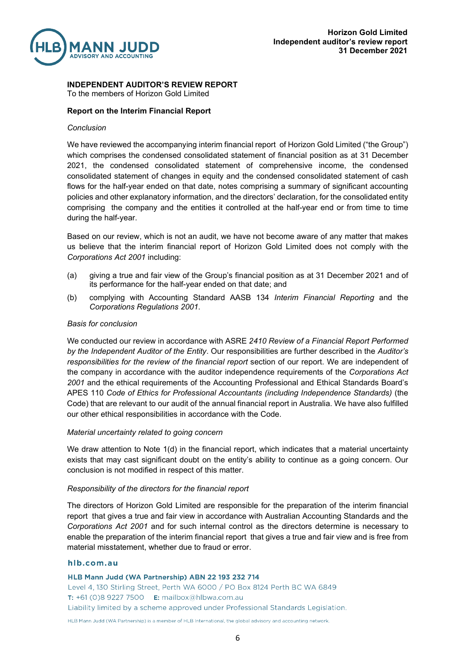

**INDEPENDENT AUDITOR'S REVIEW REPORT**

To the members of Horizon Gold Limited

# **Report on the Interim Financial Report**

# *Conclusion*

We have reviewed the accompanying interim financial report of Horizon Gold Limited ("the Group") which comprises the condensed consolidated statement of financial position as at 31 December 2021, the condensed consolidated statement of comprehensive income, the condensed consolidated statement of changes in equity and the condensed consolidated statement of cash flows for the half-year ended on that date, notes comprising a summary of significant accounting policies and other explanatory information, and the directors' declaration, for the consolidated entity comprising the company and the entities it controlled at the half-year end or from time to time during the half-year.

Based on our review, which is not an audit, we have not become aware of any matter that makes us believe that the interim financial report of Horizon Gold Limited does not comply with the *Corporations Act 2001* including:

- (a) giving a true and fair view of the Group's financial position as at 31 December 2021 and of its performance for the half-year ended on that date; and
- (b) complying with Accounting Standard AASB 134 *Interim Financial Reporting* and the *Corporations Regulations 2001*.

# *Basis for conclusion*

We conducted our review in accordance with ASRE *2410 Review of a Financial Report Performed by the Independent Auditor of the Entity*. Our responsibilities are further described in the *Auditor's responsibilities for the review of the financial report* section of our report. We are independent of the company in accordance with the auditor independence requirements of the *Corporations Act 2001* and the ethical requirements of the Accounting Professional and Ethical Standards Board's APES 110 *Code of Ethics for Professional Accountants (including Independence Standards)* (the Code) that are relevant to our audit of the annual financial report in Australia. We have also fulfilled our other ethical responsibilities in accordance with the Code.

# *Material uncertainty related to going concern*

We draw attention to Note 1(d) in the financial report, which indicates that a material uncertainty exists that may cast significant doubt on the entity's ability to continue as a going concern. Our conclusion is not modified in respect of this matter.

# *Responsibility of the directors for the financial report*

The directors of Horizon Gold Limited are responsible for the preparation of the interim financial report that gives a true and fair view in accordance with Australian Accounting Standards and the *Corporations Act 2001* and for such internal control as the directors determine is necessary to enable the preparation of the interim financial report that gives a true and fair view and is free from material misstatement, whether due to fraud or error.

### hlb.com.au

HLB Mann Judd (WA Partnership) ABN 22 193 232 714 Level 4, 130 Stirling Street, Perth WA 6000 / PO Box 8124 Perth BC WA 6849 T: +61 (0)8 9227 7500 E: mailbox@hlbwa.com.au Liability limited by a scheme approved under Professional Standards Legislation.

HLB Mann Judd (WA Partnership) is a member of HLB International, the global advisory and accounting network.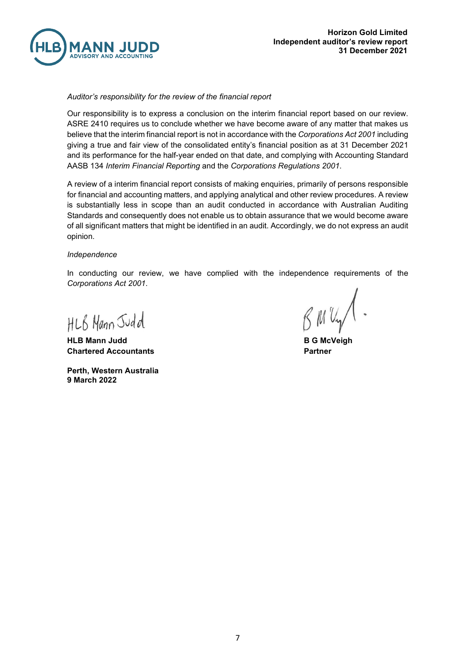

# *Auditor's responsibility for the review of the financial report*

Our responsibility is to express a conclusion on the interim financial report based on our review. ASRE 2410 requires us to conclude whether we have become aware of any matter that makes us believe that the interim financial report is not in accordance with the *Corporations Act 2001* including giving a true and fair view of the consolidated entity's financial position as at 31 December 2021 and its performance for the half-year ended on that date, and complying with Accounting Standard AASB 134 *Interim Financial Reporting* and the *Corporations Regulations 2001*.

A review of a interim financial report consists of making enquiries, primarily of persons responsible for financial and accounting matters, and applying analytical and other review procedures. A review is substantially less in scope than an audit conducted in accordance with Australian Auditing Standards and consequently does not enable us to obtain assurance that we would become aware of all significant matters that might be identified in an audit. Accordingly, we do not express an audit opinion.

### *Independence*

In conducting our review, we have complied with the independence requirements of the *Corporations Act 2001*.

HLB Mann Judd

**HLB Mann Judd B G McVeigh Chartered Accountants Partner**

**Perth, Western Australia 9 March 2022**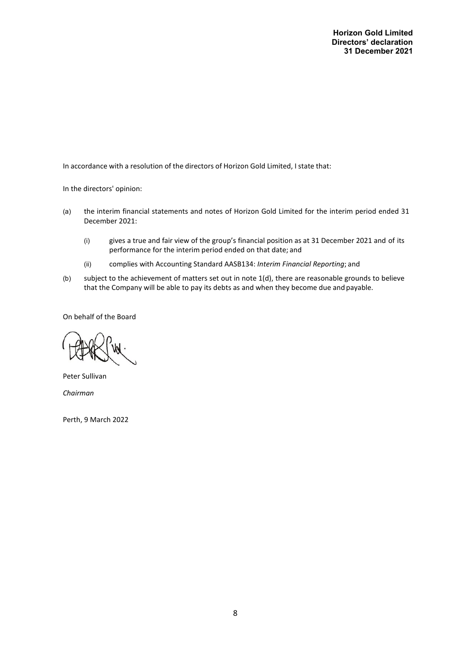**Horizon Gold Limited Directors' declaration 31 December 2021**

In accordance with a resolution of the directors of Horizon Gold Limited, I state that:

In the directors' opinion:

- (a) the interim financial statements and notes of Horizon Gold Limited for the interim period ended 31 December 2021:
	- (i) gives a true and fair view of the group's financial position as at 31 December 2021 and of its performance for the interim period ended on that date; and
	- (ii) complies with Accounting Standard AASB134: *Interim Financial Reporting*; and
- (b) subject to the achievement of matters set out in note 1(d), there are reasonable grounds to believe that the Company will be able to pay its debts as and when they become due and payable.

On behalf of the Board

Peter Sullivan *Chairman*

Perth, 9 March 2022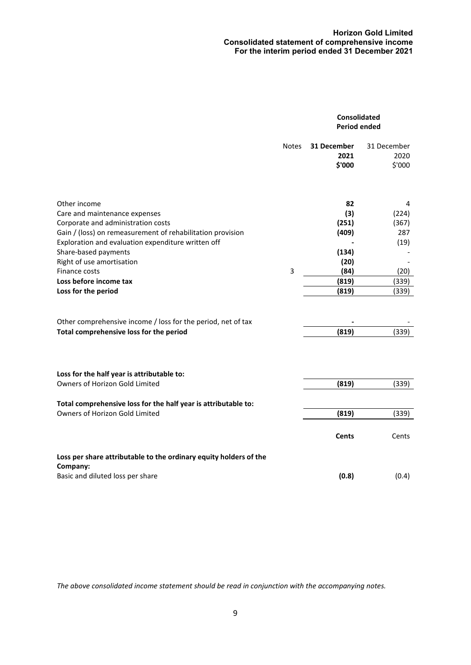# **Horizon Gold Limited Consolidated statement of comprehensive income For the interim period ended 31 December 2021**

|                                                                                                                                                                                                                                                                                                                                | Consolidated<br><b>Period ended</b> |                                                                        |                                                              |
|--------------------------------------------------------------------------------------------------------------------------------------------------------------------------------------------------------------------------------------------------------------------------------------------------------------------------------|-------------------------------------|------------------------------------------------------------------------|--------------------------------------------------------------|
|                                                                                                                                                                                                                                                                                                                                | <b>Notes</b>                        | 31 December<br>2021<br>\$'000                                          | 31 December<br>2020<br>\$'000                                |
| Other income<br>Care and maintenance expenses<br>Corporate and administration costs<br>Gain / (loss) on remeasurement of rehabilitation provision<br>Exploration and evaluation expenditure written off<br>Share-based payments<br>Right of use amortisation<br>Finance costs<br>Loss before income tax<br>Loss for the period | 3                                   | 82<br>(3)<br>(251)<br>(409)<br>(134)<br>(20)<br>(84)<br>(819)<br>(819) | 4<br>(224)<br>(367)<br>287<br>(19)<br>(20)<br>(339)<br>(339) |
| Other comprehensive income / loss for the period, net of tax<br>Total comprehensive loss for the period                                                                                                                                                                                                                        |                                     | (819)                                                                  | (339)                                                        |
| Loss for the half year is attributable to:<br>Owners of Horizon Gold Limited                                                                                                                                                                                                                                                   |                                     | (819)                                                                  | (339)                                                        |
| Total comprehensive loss for the half year is attributable to:<br>Owners of Horizon Gold Limited                                                                                                                                                                                                                               |                                     | (819)                                                                  | (339)                                                        |
|                                                                                                                                                                                                                                                                                                                                |                                     | <b>Cents</b>                                                           | Cents                                                        |
| Loss per share attributable to the ordinary equity holders of the<br>Company:                                                                                                                                                                                                                                                  |                                     |                                                                        |                                                              |
| Basic and diluted loss per share                                                                                                                                                                                                                                                                                               |                                     | (0.8)                                                                  | (0.4)                                                        |

*The above consolidated income statement should be read in conjunction with the accompanying notes.*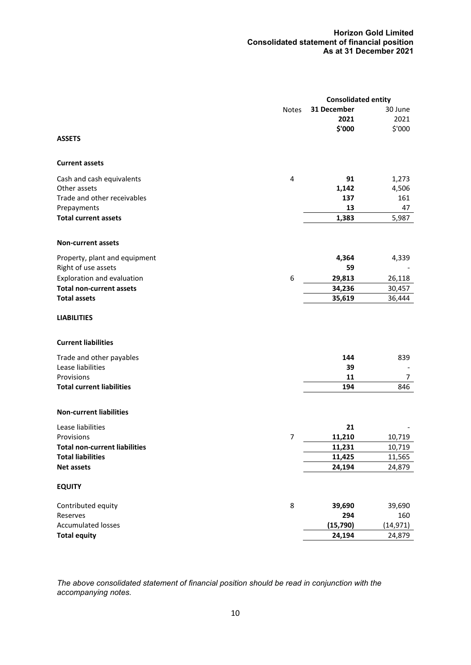# **Horizon Gold Limited Consolidated statement of financial position As at 31 December 2021**

|                                                  |              | <b>Consolidated entity</b> |           |
|--------------------------------------------------|--------------|----------------------------|-----------|
|                                                  | <b>Notes</b> | 31 December                | 30 June   |
|                                                  |              | 2021                       | 2021      |
|                                                  |              | \$'000                     | \$'000    |
| <b>ASSETS</b>                                    |              |                            |           |
| <b>Current assets</b>                            |              |                            |           |
| Cash and cash equivalents                        | 4            | 91                         | 1,273     |
| Other assets                                     |              | 1,142                      | 4,506     |
| Trade and other receivables                      |              | 137                        | 161       |
| Prepayments                                      |              | 13                         | 47        |
|                                                  |              |                            |           |
| <b>Total current assets</b>                      |              | 1,383                      | 5,987     |
| <b>Non-current assets</b>                        |              |                            |           |
| Property, plant and equipment                    |              | 4,364                      | 4,339     |
| Right of use assets                              |              | 59                         |           |
| Exploration and evaluation                       | 6            | 29,813                     | 26,118    |
| <b>Total non-current assets</b>                  |              | 34,236                     | 30,457    |
| <b>Total assets</b>                              |              | 35,619                     | 36,444    |
|                                                  |              |                            |           |
| <b>LIABILITIES</b><br><b>Current liabilities</b> |              |                            |           |
|                                                  |              |                            |           |
| Trade and other payables                         |              | 144                        | 839       |
| Lease liabilities                                |              | 39                         |           |
| Provisions                                       |              | 11                         | 7         |
| <b>Total current liabilities</b>                 |              | 194                        | 846       |
|                                                  |              |                            |           |
| <b>Non-current liabilities</b>                   |              |                            |           |
| Lease liabilities                                |              | 21                         |           |
| Provisions                                       | 7            | 11,210                     | 10,719    |
| <b>Total non-current liabilities</b>             |              | 11,231                     | 10,719    |
| <b>Total liabilities</b>                         |              | 11,425                     | 11,565    |
| <b>Net assets</b>                                |              | 24,194                     | 24,879    |
|                                                  |              |                            |           |
| <b>EQUITY</b>                                    |              |                            |           |
| Contributed equity                               | 8            | 39,690                     | 39,690    |
| Reserves                                         |              | 294                        | 160       |
| <b>Accumulated losses</b>                        |              | (15, 790)                  | (14, 971) |
| <b>Total equity</b>                              |              | 24,194                     | 24,879    |
|                                                  |              |                            |           |

*The above consolidated statement of financial position should be read in conjunction with the accompanying notes.*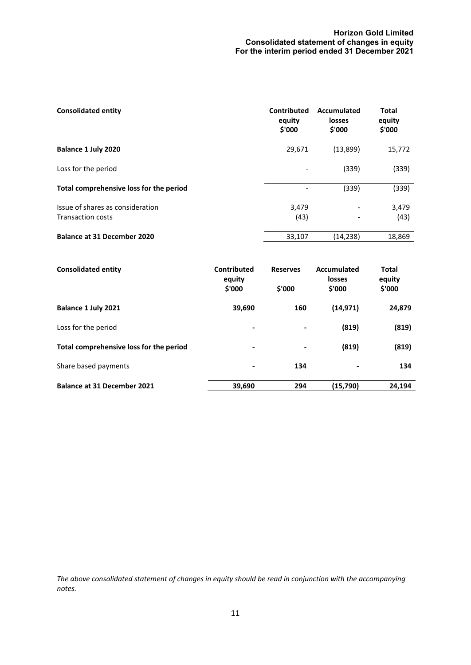# **Horizon Gold Limited Consolidated statement of changes in equity For the interim period ended 31 December 2021**

| <b>Consolidated entity</b>                                   | Contributed<br>equity<br>\$'000 | Accumulated<br>losses<br>\$'000 | Total<br>equity<br>\$'000 |
|--------------------------------------------------------------|---------------------------------|---------------------------------|---------------------------|
| Balance 1 July 2020                                          | 29,671                          | (13,899)                        | 15,772                    |
| Loss for the period                                          | $\overline{\phantom{a}}$        | (339)                           | (339)                     |
| Total comprehensive loss for the period                      | $\overline{\phantom{a}}$        | (339)                           | (339)                     |
| Issue of shares as consideration<br><b>Transaction costs</b> | 3,479<br>(43)                   |                                 | 3,479<br>(43)             |
| <b>Balance at 31 December 2020</b>                           | 33,107                          | (14,238)                        | 18,869                    |

| <b>Consolidated entity</b>              | Contributed<br>equity<br>\$'000 | <b>Reserves</b><br>\$'000 | Accumulated<br>losses<br>\$'000 | <b>Total</b><br>equity<br>\$'000 |
|-----------------------------------------|---------------------------------|---------------------------|---------------------------------|----------------------------------|
| Balance 1 July 2021                     | 39,690                          | 160                       | (14, 971)                       | 24,879                           |
| Loss for the period                     | $\overline{\phantom{a}}$        |                           | (819)                           | (819)                            |
| Total comprehensive loss for the period | $\overline{\phantom{0}}$        | ۰                         | (819)                           | (819)                            |
| Share based payments                    | -                               | 134                       |                                 | 134                              |
| <b>Balance at 31 December 2021</b>      | 39,690                          | 294                       | (15, 790)                       | 24,194                           |

*The above consolidated statement of changes in equity should be read in conjunction with the accompanying notes.*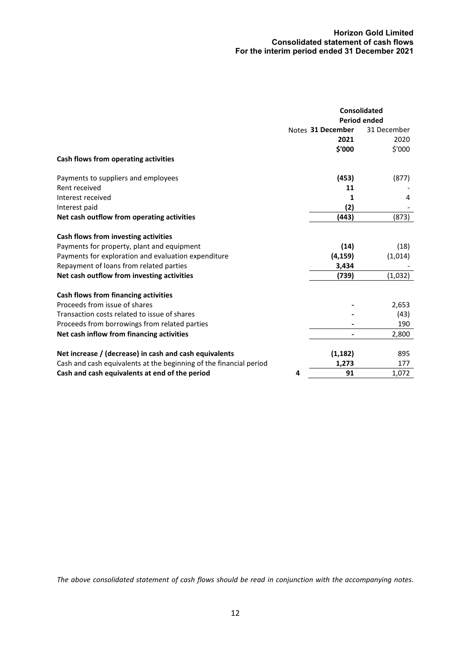# **Horizon Gold Limited Consolidated statement of cash flows For the interim period ended 31 December 2021**

|                                                                    |   | <b>Consolidated</b> |                     |
|--------------------------------------------------------------------|---|---------------------|---------------------|
|                                                                    |   |                     | <b>Period ended</b> |
|                                                                    |   | Notes 31 December   | 31 December         |
|                                                                    |   | 2021                | 2020                |
|                                                                    |   | \$'000              | \$'000              |
| Cash flows from operating activities                               |   |                     |                     |
| Payments to suppliers and employees                                |   | (453)               | (877)               |
| Rent received                                                      |   | 11                  |                     |
| Interest received                                                  |   | 1                   | 4                   |
| Interest paid                                                      |   | (2)                 |                     |
| Net cash outflow from operating activities                         |   | (443)               | (873)               |
| Cash flows from investing activities                               |   |                     |                     |
| Payments for property, plant and equipment                         |   | (14)                | (18)                |
| Payments for exploration and evaluation expenditure                |   | (4, 159)            | (1,014)             |
| Repayment of loans from related parties                            |   | 3,434               |                     |
| Net cash outflow from investing activities                         |   | (739)               | (1,032)             |
| Cash flows from financing activities                               |   |                     |                     |
| Proceeds from issue of shares                                      |   |                     | 2,653               |
| Transaction costs related to issue of shares                       |   |                     | (43)                |
| Proceeds from borrowings from related parties                      |   |                     | 190                 |
| Net cash inflow from financing activities                          |   |                     | 2,800               |
| Net increase / (decrease) in cash and cash equivalents             |   | (1, 182)            | 895                 |
| Cash and cash equivalents at the beginning of the financial period |   | 1,273               | 177                 |
| Cash and cash equivalents at end of the period                     | 4 | 91                  | 1,072               |
|                                                                    |   |                     |                     |

*The above consolidated statement of cash flows should be read in conjunction with the accompanying notes.*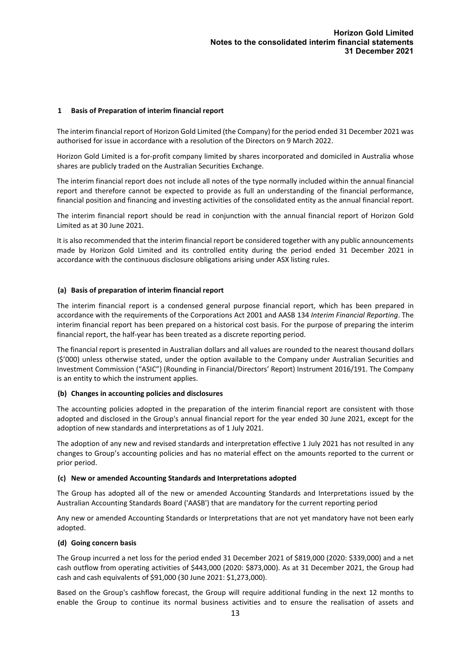# **1 Basis of Preparation of interim financial report**

The interim financial report of Horizon Gold Limited (the Company) for the period ended 31 December 2021 was authorised for issue in accordance with a resolution of the Directors on 9 March 2022.

Horizon Gold Limited is a for-profit company limited by shares incorporated and domiciled in Australia whose shares are publicly traded on the Australian Securities Exchange.

The interim financial report does not include all notes of the type normally included within the annual financial report and therefore cannot be expected to provide as full an understanding of the financial performance, financial position and financing and investing activities of the consolidated entity as the annual financial report.

The interim financial report should be read in conjunction with the annual financial report of Horizon Gold Limited as at 30 June 2021.

It is also recommended that the interim financial report be considered together with any public announcements made by Horizon Gold Limited and its controlled entity during the period ended 31 December 2021 in accordance with the continuous disclosure obligations arising under ASX listing rules.

### **(a) Basis of preparation of interim financial report**

The interim financial report is a condensed general purpose financial report, which has been prepared in accordance with the requirements of the Corporations Act 2001 and AASB 134 *Interim Financial Reporting*. The interim financial report has been prepared on a historical cost basis. For the purpose of preparing the interim financial report, the half-year has been treated as a discrete reporting period.

The financial report is presented in Australian dollars and all values are rounded to the nearest thousand dollars (\$'000) unless otherwise stated, under the option available to the Company under Australian Securities and Investment Commission ("ASIC") (Rounding in Financial/Directors' Report) Instrument 2016/191. The Company is an entity to which the instrument applies.

### **(b) Changes in accounting policies and disclosures**

The accounting policies adopted in the preparation of the interim financial report are consistent with those adopted and disclosed in the Group's annual financial report for the year ended 30 June 2021, except for the adoption of new standards and interpretations as of 1 July 2021.

The adoption of any new and revised standards and interpretation effective 1 July 2021 has not resulted in any changes to Group's accounting policies and has no material effect on the amounts reported to the current or prior period.

#### **(c) New or amended Accounting Standards and Interpretations adopted**

The Group has adopted all of the new or amended Accounting Standards and Interpretations issued by the Australian Accounting Standards Board ('AASB') that are mandatory for the current reporting period

Any new or amended Accounting Standards or Interpretations that are not yet mandatory have not been early adopted.

### **(d) Going concern basis**

The Group incurred a net loss for the period ended 31 December 2021 of \$819,000 (2020: \$339,000) and a net cash outflow from operating activities of \$443,000 (2020: \$873,000). As at 31 December 2021, the Group had cash and cash equivalents of \$91,000 (30 June 2021: \$1,273,000).

Based on the Group's cashflow forecast, the Group will require additional funding in the next 12 months to enable the Group to continue its normal business activities and to ensure the realisation of assets and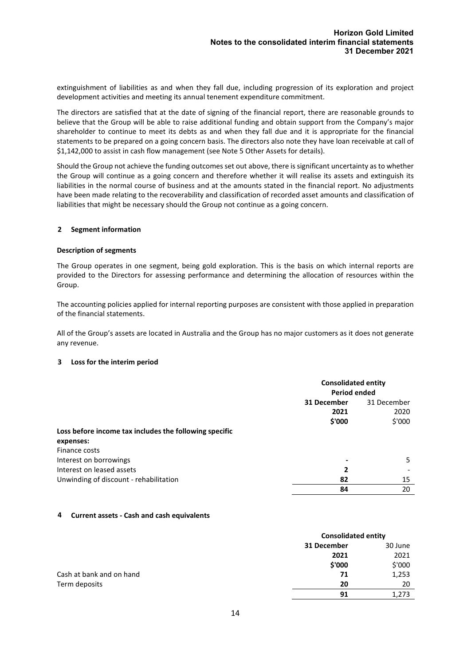extinguishment of liabilities as and when they fall due, including progression of its exploration and project development activities and meeting its annual tenement expenditure commitment.

The directors are satisfied that at the date of signing of the financial report, there are reasonable grounds to believe that the Group will be able to raise additional funding and obtain support from the Company's major shareholder to continue to meet its debts as and when they fall due and it is appropriate for the financial statements to be prepared on a going concern basis. The directors also note they have loan receivable at call of \$1,142,000 to assist in cash flow management (see Note 5 Other Assets for details).

Should the Group not achieve the funding outcomes set out above, there is significant uncertainty as to whether the Group will continue as a going concern and therefore whether it will realise its assets and extinguish its liabilities in the normal course of business and at the amounts stated in the financial report. No adjustments have been made relating to the recoverability and classification of recorded asset amounts and classification of liabilities that might be necessary should the Group not continue as a going concern.

### **2 Segment information**

### **Description of segments**

The Group operates in one segment, being gold exploration. This is the basis on which internal reports are provided to the Directors for assessing performance and determining the allocation of resources within the Group.

The accounting policies applied for internal reporting purposes are consistent with those applied in preparation of the financial statements.

All of the Group's assets are located in Australia and the Group has no major customers as it does not generate any revenue.

# **3 Loss for the interim period**

|                                                        |             | <b>Consolidated entity</b><br><b>Period ended</b> |  |
|--------------------------------------------------------|-------------|---------------------------------------------------|--|
|                                                        | 31 December | 31 December                                       |  |
|                                                        | 2021        | 2020                                              |  |
|                                                        | \$'000      | \$'000                                            |  |
| Loss before income tax includes the following specific |             |                                                   |  |
| expenses:                                              |             |                                                   |  |
| Finance costs                                          |             |                                                   |  |
| Interest on borrowings                                 | ٠           | 5                                                 |  |
| Interest on leased assets                              | 2           |                                                   |  |
| Unwinding of discount - rehabilitation                 | 82          | 15                                                |  |
|                                                        | 84          | 20                                                |  |

# **4 Current assets - Cash and cash equivalents**

|                          |             | <b>Consolidated entity</b> |  |
|--------------------------|-------------|----------------------------|--|
|                          | 31 December | 30 June                    |  |
|                          | 2021        | 2021                       |  |
|                          | \$'000      | \$'000                     |  |
| Cash at bank and on hand | 71          | 1,253                      |  |
| Term deposits            | 20          | 20                         |  |
|                          | 91          | 1,273                      |  |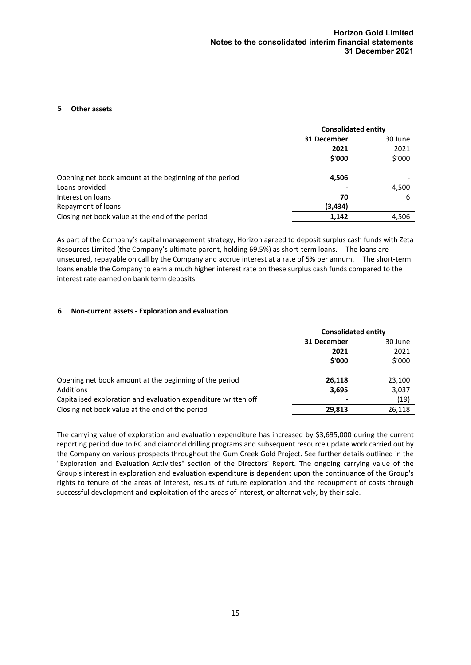## **5 Other assets**

|                                                        | <b>Consolidated entity</b> |         |  |
|--------------------------------------------------------|----------------------------|---------|--|
|                                                        | 31 December                | 30 June |  |
|                                                        | 2021                       | 2021    |  |
|                                                        | \$'000                     | \$'000  |  |
| Opening net book amount at the beginning of the period | 4,506                      |         |  |
| Loans provided                                         |                            | 4,500   |  |
| Interest on loans                                      | 70                         | 6       |  |
| Repayment of loans                                     | (3, 434)                   |         |  |
| Closing net book value at the end of the period        | 1,142                      | 4,506   |  |

As part of the Company's capital management strategy, Horizon agreed to deposit surplus cash funds with Zeta Resources Limited (the Company's ultimate parent, holding 69.5%) as short-term loans. The loans are unsecured, repayable on call by the Company and accrue interest at a rate of 5% per annum. The short-term loans enable the Company to earn a much higher interest rate on these surplus cash funds compared to the interest rate earned on bank term deposits.

### **6 Non-current assets - Exploration and evaluation**

|                                                                | <b>Consolidated entity</b> |         |
|----------------------------------------------------------------|----------------------------|---------|
|                                                                | 31 December                | 30 June |
|                                                                | 2021                       | 2021    |
|                                                                | \$'000                     | \$'000  |
| Opening net book amount at the beginning of the period         | 26.118                     | 23,100  |
| Additions                                                      | 3,695                      | 3,037   |
| Capitalised exploration and evaluation expenditure written off | ٠                          | (19)    |
| Closing net book value at the end of the period                | 29.813                     | 26,118  |

The carrying value of exploration and evaluation expenditure has increased by \$3,695,000 during the current reporting period due to RC and diamond drilling programs and subsequent resource update work carried out by the Company on various prospects throughout the Gum Creek Gold Project. See further details outlined in the "Exploration and Evaluation Activities" section of the Directors' Report. The ongoing carrying value of the Group's interest in exploration and evaluation expenditure is dependent upon the continuance of the Group's rights to tenure of the areas of interest, results of future exploration and the recoupment of costs through successful development and exploitation of the areas of interest, or alternatively, by their sale.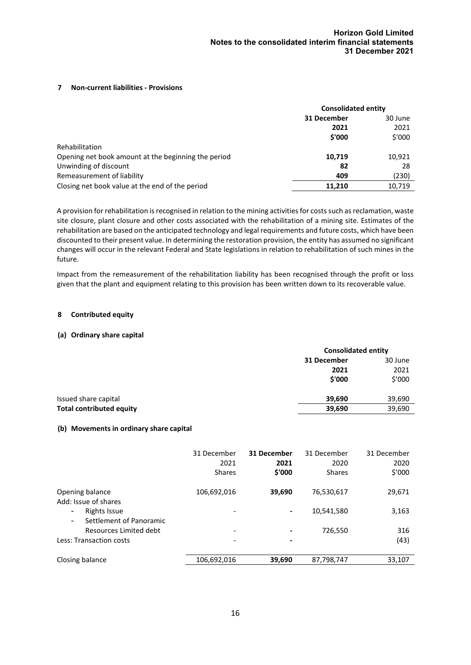## **7 Non-current liabilities - Provisions**

|                                                     | <b>Consolidated entity</b> |         |
|-----------------------------------------------------|----------------------------|---------|
|                                                     | 31 December                | 30 June |
|                                                     | 2021                       | 2021    |
|                                                     | \$'000                     | \$'000  |
| Rehabilitation                                      |                            |         |
| Opening net book amount at the beginning the period | 10,719                     | 10,921  |
| Unwinding of discount                               | 82                         | 28      |
| Remeasurement of liability                          | 409                        | (230)   |
| Closing net book value at the end of the period     | 11.210                     | 10.719  |

A provision for rehabilitation is recognised in relation to the mining activities for costs such as reclamation, waste site closure, plant closure and other costs associated with the rehabilitation of a mining site. Estimates of the rehabilitation are based on the anticipated technology and legal requirements and future costs, which have been discounted to their present value. In determining the restoration provision, the entity has assumed no significant changes will occur in the relevant Federal and State legislations in relation to rehabilitation of such mines in the future.

Impact from the remeasurement of the rehabilitation liability has been recognised through the profit or loss given that the plant and equipment relating to this provision has been written down to its recoverable value.

### **8 Contributed equity**

### **(a) Ordinary share capital**

|                                 | <b>Consolidated entity</b> |         |  |
|---------------------------------|----------------------------|---------|--|
|                                 | 31 December                | 30 June |  |
|                                 | 2021                       | 2021    |  |
|                                 | \$'000                     | \$'000  |  |
| Issued share capital            | 39,690                     | 39,690  |  |
| <b>Total contributed equity</b> | 39,690                     | 39,690  |  |

### **(b) Movements in ordinary share capital**

|                                                     | 31 December<br>2021<br><b>Shares</b> | 31 December<br>2021<br>\$'000 | 31 December<br>2020<br><b>Shares</b> | 31 December<br>2020<br>\$'000 |
|-----------------------------------------------------|--------------------------------------|-------------------------------|--------------------------------------|-------------------------------|
| Opening balance<br>Add: Issue of shares             | 106,692,016                          | 39,690                        | 76,530,617                           | 29,671                        |
| <b>Rights Issue</b><br>۰<br>Settlement of Panoramic | $\overline{\phantom{a}}$             | $\blacksquare$                | 10,541,580                           | 3,163                         |
| Resources Limited debt                              | $\overline{\phantom{a}}$             | $\overline{\phantom{a}}$      | 726,550                              | 316                           |
| Less: Transaction costs                             | $\overline{\phantom{a}}$             | $\blacksquare$                |                                      | (43)                          |
| Closing balance                                     | 106,692,016                          | 39,690                        | 87,798,747                           | 33,107                        |